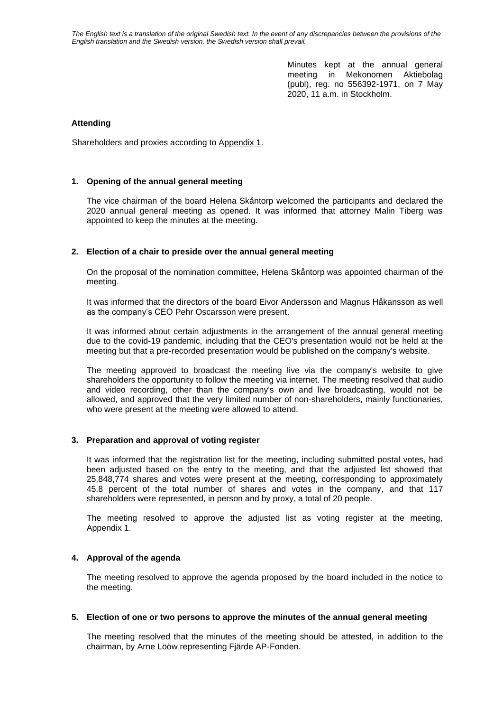*The English text is a translation of the original Swedish text. In the event of any discrepancies between the provisions of the English translation and the Swedish version, the Swedish version shall prevail.*

> Minutes kept at the annual general meeting in Mekonomen Aktiebolag (publ), reg. no 556392-1971, on 7 May 2020, 11 a.m. in Stockholm.

## **Attending**

Shareholders and proxies according to Appendix 1.

## **1. Opening of the annual general meeting**

The vice chairman of the board Helena Skåntorp welcomed the participants and declared the 2020 annual general meeting as opened. It was informed that attorney Malin Tiberg was appointed to keep the minutes at the meeting.

## **2. Election of a chair to preside over the annual general meeting**

On the proposal of the nomination committee, Helena Skåntorp was appointed chairman of the meeting.

It was informed that the directors of the board Eivor Andersson and Magnus Håkansson as well as the company's CEO Pehr Oscarsson were present.

It was informed about certain adjustments in the arrangement of the annual general meeting due to the covid-19 pandemic, including that the CEO's presentation would not be held at the meeting but that a pre-recorded presentation would be published on the company's website.

The meeting approved to broadcast the meeting live via the company's website to give shareholders the opportunity to follow the meeting via internet. The meeting resolved that audio and video recording, other than the company's own and live broadcasting, would not be allowed, and approved that the very limited number of non-shareholders, mainly functionaries, who were present at the meeting were allowed to attend.

## **3. Preparation and approval of voting register**

It was informed that the registration list for the meeting, including submitted postal votes, had been adjusted based on the entry to the meeting, and that the adjusted list showed that 25,848,774 shares and votes were present at the meeting, corresponding to approximately 45.8 percent of the total number of shares and votes in the company, and that 117 shareholders were represented, in person and by proxy, a total of 20 people.

The meeting resolved to approve the adjusted list as voting register at the meeting, Appendix 1.

## **4. Approval of the agenda**

The meeting resolved to approve the agenda proposed by the board included in the notice to the meeting.

## **5. Election of one or two persons to approve the minutes of the annual general meeting**

The meeting resolved that the minutes of the meeting should be attested, in addition to the chairman, by Arne Lööw representing Fjärde AP-Fonden.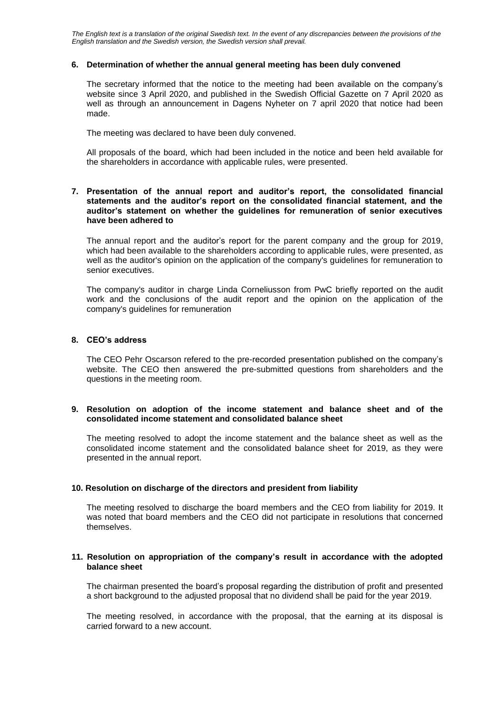*The English text is a translation of the original Swedish text. In the event of any discrepancies between the provisions of the English translation and the Swedish version, the Swedish version shall prevail.*

## **6. Determination of whether the annual general meeting has been duly convened**

The secretary informed that the notice to the meeting had been available on the company's website since 3 April 2020, and published in the Swedish Official Gazette on 7 April 2020 as well as through an announcement in Dagens Nyheter on 7 april 2020 that notice had been made.

The meeting was declared to have been duly convened.

All proposals of the board, which had been included in the notice and been held available for the shareholders in accordance with applicable rules, were presented.

## **7. Presentation of the annual report and auditor's report, the consolidated financial statements and the auditor's report on the consolidated financial statement, and the auditor's statement on whether the guidelines for remuneration of senior executives have been adhered to**

The annual report and the auditor's report for the parent company and the group for 2019, which had been available to the shareholders according to applicable rules, were presented, as well as the auditor's opinion on the application of the company's guidelines for remuneration to senior executives.

The company's auditor in charge Linda Corneliusson from PwC briefly reported on the audit work and the conclusions of the audit report and the opinion on the application of the company's guidelines for remuneration

## **8. CEO's address**

The CEO Pehr Oscarson refered to the pre-recorded presentation published on the company's website. The CEO then answered the pre-submitted questions from shareholders and the questions in the meeting room.

## **9. Resolution on adoption of the income statement and balance sheet and of the consolidated income statement and consolidated balance sheet**

The meeting resolved to adopt the income statement and the balance sheet as well as the consolidated income statement and the consolidated balance sheet for 2019, as they were presented in the annual report.

## **10. Resolution on discharge of the directors and president from liability**

The meeting resolved to discharge the board members and the CEO from liability for 2019. It was noted that board members and the CEO did not participate in resolutions that concerned themselves.

## **11. Resolution on appropriation of the company's result in accordance with the adopted balance sheet**

The chairman presented the board's proposal regarding the distribution of profit and presented a short background to the adjusted proposal that no dividend shall be paid for the year 2019.

The meeting resolved, in accordance with the proposal, that the earning at its disposal is carried forward to a new account.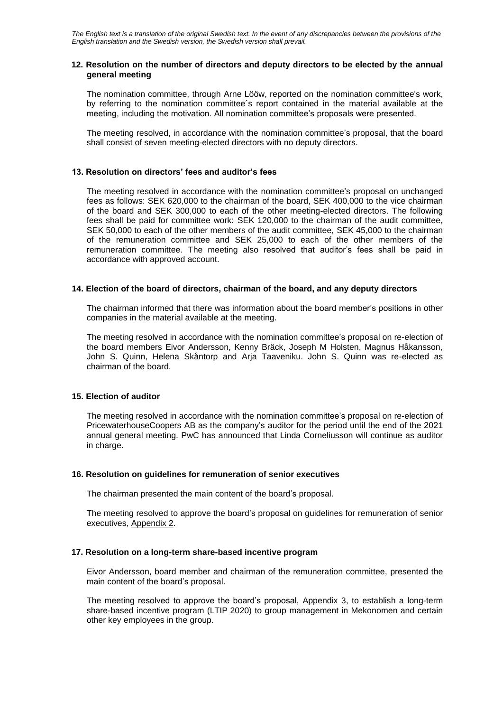## **12. Resolution on the number of directors and deputy directors to be elected by the annual general meeting**

The nomination committee, through Arne Lööw, reported on the nomination committee's work, by referring to the nomination committee´s report contained in the material available at the meeting, including the motivation. All nomination committee's proposals were presented.

The meeting resolved, in accordance with the nomination committee's proposal, that the board shall consist of seven meeting-elected directors with no deputy directors.

## **13. Resolution on directors' fees and auditor's fees**

The meeting resolved in accordance with the nomination committee's proposal on unchanged fees as follows: SEK 620,000 to the chairman of the board, SEK 400,000 to the vice chairman of the board and SEK 300,000 to each of the other meeting-elected directors. The following fees shall be paid for committee work: SEK 120,000 to the chairman of the audit committee, SEK 50,000 to each of the other members of the audit committee, SEK 45,000 to the chairman of the remuneration committee and SEK 25,000 to each of the other members of the remuneration committee. The meeting also resolved that auditor's fees shall be paid in accordance with approved account.

## **14. Election of the board of directors, chairman of the board, and any deputy directors**

The chairman informed that there was information about the board member's positions in other companies in the material available at the meeting.

The meeting resolved in accordance with the nomination committee's proposal on re-election of the board members Eivor Andersson, Kenny Bräck, Joseph M Holsten, Magnus Håkansson, John S. Quinn, Helena Skåntorp and Arja Taaveniku. John S. Quinn was re-elected as chairman of the board.

## **15. Election of auditor**

The meeting resolved in accordance with the nomination committee's proposal on re-election of PricewaterhouseCoopers AB as the company's auditor for the period until the end of the 2021 annual general meeting. PwC has announced that Linda Corneliusson will continue as auditor in charge.

## **16. Resolution on guidelines for remuneration of senior executives**

The chairman presented the main content of the board's proposal.

The meeting resolved to approve the board's proposal on guidelines for remuneration of senior executives, Appendix 2.

# **17. Resolution on a long-term share-based incentive program**

Eivor Andersson, board member and chairman of the remuneration committee, presented the main content of the board's proposal.

The meeting resolved to approve the board's proposal, Appendix 3, to establish a long-term share-based incentive program (LTIP 2020) to group management in Mekonomen and certain other key employees in the group.